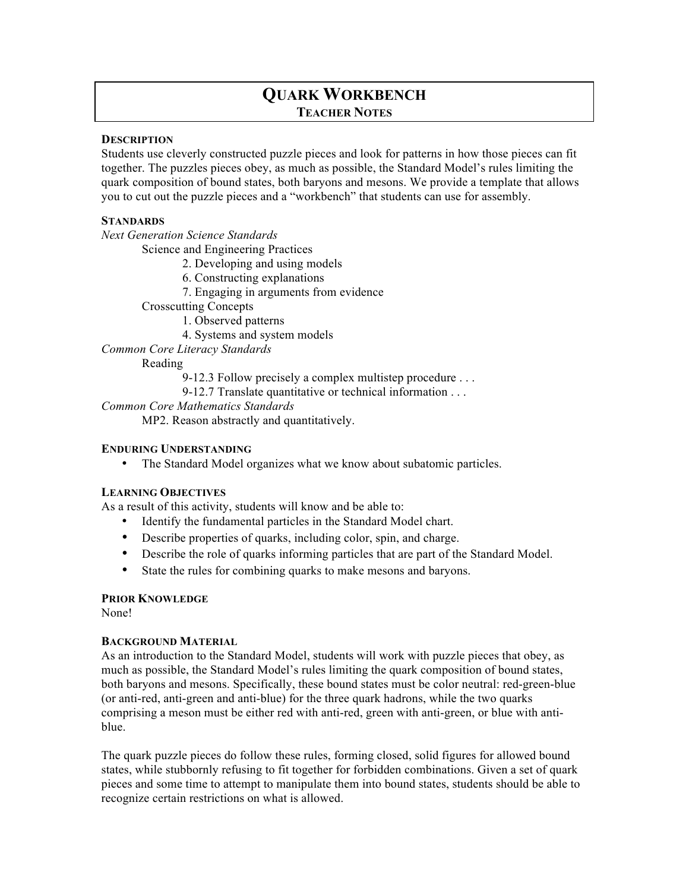# **QUARK WORKBENCH TEACHER NOTES**

#### **DESCRIPTION**

Students use cleverly constructed puzzle pieces and look for patterns in how those pieces can fit together. The puzzles pieces obey, as much as possible, the Standard Model's rules limiting the quark composition of bound states, both baryons and mesons. We provide a template that allows you to cut out the puzzle pieces and a "workbench" that students can use for assembly.

#### **STANDARDS**

*Next Generation Science Standards*

Science and Engineering Practices

- 2. Developing and using models
- 6. Constructing explanations
- 7. Engaging in arguments from evidence

Crosscutting Concepts

1. Observed patterns

4. Systems and system models

*Common Core Literacy Standards*

Reading

9-12.3 Follow precisely a complex multistep procedure . . .

9-12.7 Translate quantitative or technical information . . .

*Common Core Mathematics Standards*

MP2. Reason abstractly and quantitatively.

#### **ENDURING UNDERSTANDING**

• The Standard Model organizes what we know about subatomic particles.

## **LEARNING OBJECTIVES**

As a result of this activity, students will know and be able to:

- Identify the fundamental particles in the Standard Model chart.
- Describe properties of quarks, including color, spin, and charge.
- Describe the role of quarks informing particles that are part of the Standard Model.
- State the rules for combining quarks to make mesons and baryons.

## **PRIOR KNOWLEDGE**

None!

## **BACKGROUND MATERIAL**

As an introduction to the Standard Model, students will work with puzzle pieces that obey, as much as possible, the Standard Model's rules limiting the quark composition of bound states, both baryons and mesons. Specifically, these bound states must be color neutral: red-green-blue (or anti-red, anti-green and anti-blue) for the three quark hadrons, while the two quarks comprising a meson must be either red with anti-red, green with anti-green, or blue with antiblue.

The quark puzzle pieces do follow these rules, forming closed, solid figures for allowed bound states, while stubbornly refusing to fit together for forbidden combinations. Given a set of quark pieces and some time to attempt to manipulate them into bound states, students should be able to recognize certain restrictions on what is allowed.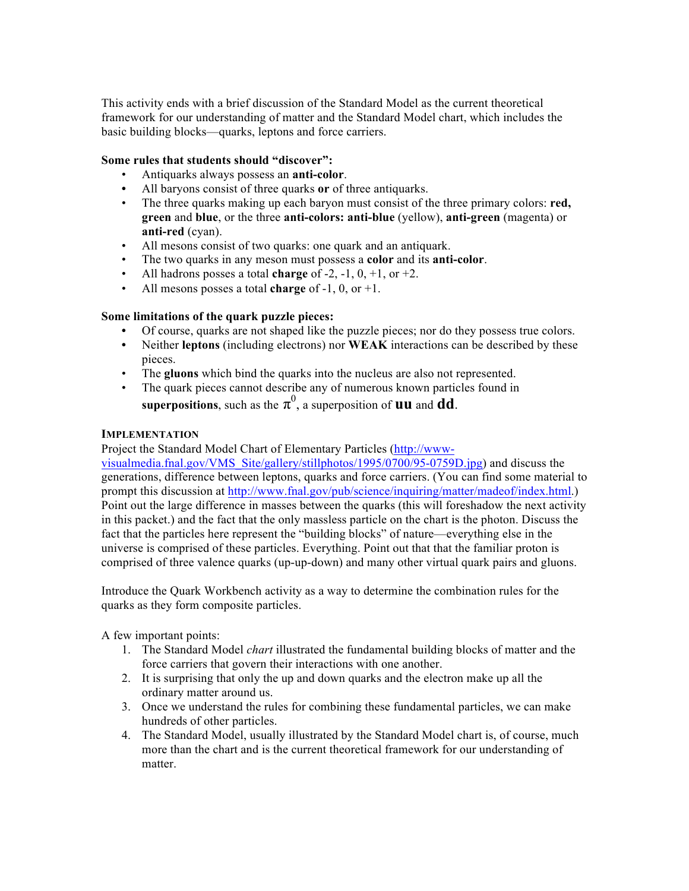This activity ends with a brief discussion of the Standard Model as the current theoretical framework for our understanding of matter and the Standard Model chart, which includes the basic building blocks—quarks, leptons and force carriers.

## **Some rules that students should "discover":**

- Antiquarks always possess an **anti-color**.
- **•** All baryons consist of three quarks **or** of three antiquarks.
- The three quarks making up each baryon must consist of the three primary colors: **red, green** and **blue**, or the three **anti-colors: anti-blue** (yellow), **anti-green** (magenta) or **anti-red** (cyan).
- All mesons consist of two quarks: one quark and an antiquark.
- The two quarks in any meson must possess a **color** and its **anti-color**.
- All hadrons posses a total **charge** of  $-2$ ,  $-1$ ,  $0$ ,  $+1$ , or  $+2$ .
- All mesons posses a total **charge** of -1, 0, or +1.

## **Some limitations of the quark puzzle pieces:**

- **•** Of course, quarks are not shaped like the puzzle pieces; nor do they possess true colors.
- **•** Neither **leptons** (including electrons) nor **WEAK** interactions can be described by these pieces.
- The **gluons** which bind the quarks into the nucleus are also not represented.
- The quark pieces cannot describe any of numerous known particles found in **superpositions**, such as the  $\pi^0$ , a superposition of **uu** and **dd**.

#### **IMPLEMENTATION**

Project the Standard Model Chart of Elementary Particles (http://wwwvisualmedia.fnal.gov/VMS\_Site/gallery/stillphotos/1995/0700/95-0759D.jpg) and discuss the generations, difference between leptons, quarks and force carriers. (You can find some material to prompt this discussion at http://www.fnal.gov/pub/science/inquiring/matter/madeof/index.html.) Point out the large difference in masses between the quarks (this will foreshadow the next activity in this packet.) and the fact that the only massless particle on the chart is the photon. Discuss the fact that the particles here represent the "building blocks" of nature—everything else in the universe is comprised of these particles. Everything. Point out that that the familiar proton is comprised of three valence quarks (up-up-down) and many other virtual quark pairs and gluons.

Introduce the Quark Workbench activity as a way to determine the combination rules for the quarks as they form composite particles.

A few important points:

- 1. The Standard Model *chart* illustrated the fundamental building blocks of matter and the force carriers that govern their interactions with one another.
- 2. It is surprising that only the up and down quarks and the electron make up all the ordinary matter around us.
- 3. Once we understand the rules for combining these fundamental particles, we can make hundreds of other particles.
- 4. The Standard Model, usually illustrated by the Standard Model chart is, of course, much more than the chart and is the current theoretical framework for our understanding of matter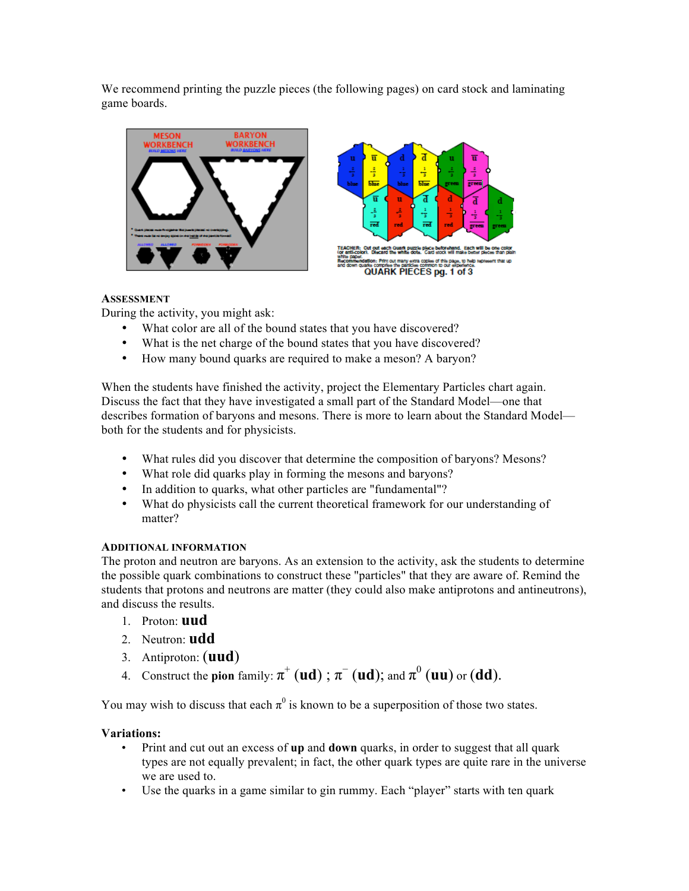We recommend printing the puzzle pieces (the following pages) on card stock and laminating game boards.





## **ASSESSMENT**

During the activity, you might ask:

- What color are all of the bound states that you have discovered?
- What is the net charge of the bound states that you have discovered?
- How many bound quarks are required to make a meson? A baryon?

When the students have finished the activity, project the Elementary Particles chart again. Discuss the fact that they have investigated a small part of the Standard Model—one that describes formation of baryons and mesons. There is more to learn about the Standard Model both for the students and for physicists.

- What rules did you discover that determine the composition of baryons? Mesons?
- What role did quarks play in forming the mesons and baryons?
- In addition to quarks, what other particles are "fundamental"?
- What do physicists call the current theoretical framework for our understanding of matter?

## **ADDITIONAL INFORMATION**

The proton and neutron are baryons. As an extension to the activity, ask the students to determine the possible quark combinations to construct these "particles" that they are aware of. Remind the students that protons and neutrons are matter (they could also make antiprotons and antineutrons), and discuss the results.

- 1. Proton: **uud**
- 2. Neutron: **udd**
- 3. Antiproton: (**uud**)
- 4. Construct the **pion** family:  $\pi^+$  (**ud**) ;  $\pi^-$  (**ud**); and  $\pi^0$  (**uu**) or (**dd**).

You may wish to discuss that each  $\pi^0$  is known to be a superposition of those two states.

## **Variations:**

- Print and cut out an excess of **up** and **down** quarks, in order to suggest that all quark types are not equally prevalent; in fact, the other quark types are quite rare in the universe we are used to.
- Use the quarks in a game similar to gin rummy. Each "player" starts with ten quark